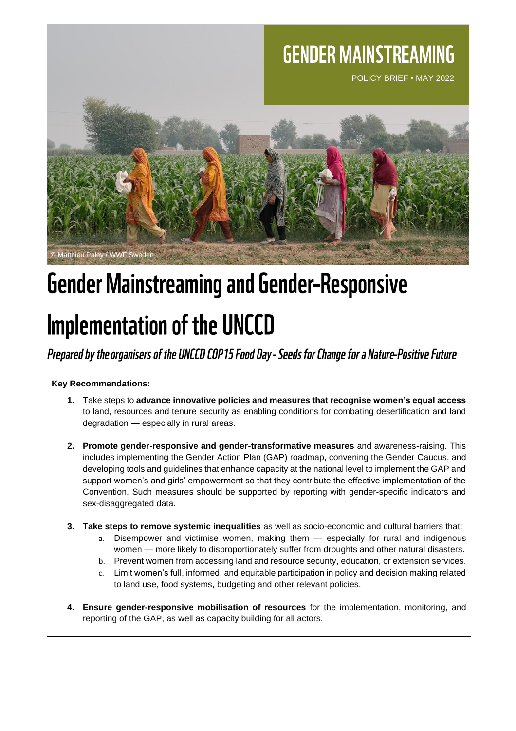## **GENDER MAINSTREAMING**

POLICY BRIEF • MAY 2022



# Gender Mainstreaming and Gender-Responsive

## **Implementation of the UNCCD**

### Prepared by the organisers of the UNCCD COP15 Food Day - Seeds for Change for a Nature-Positive Future

#### **Key Recommendations:**

- **1.** Take steps to **advance innovative policies and measures that recognise women's equal access** to land, resources and tenure security as enabling conditions for combating desertification and land degradation — especially in rural areas.
- **2. Promote gender-responsive and gender-transformative measures** and awareness-raising. This includes implementing the Gender Action Plan (GAP) roadmap, convening the Gender Caucus, and developing tools and guidelines that enhance capacity at the national level to implement the GAP and support women's and girls' empowerment so that they contribute the effective implementation of the Convention. Such measures should be supported by reporting with gender-specific indicators and sex-disaggregated data.
- **3. Take steps to remove systemic inequalities** as well as socio-economic and cultural barriers that:
	- a. Disempower and victimise women, making them especially for rural and indigenous women — more likely to disproportionately suffer from droughts and other natural disasters.
	- b. Prevent women from accessing land and resource security, education, or extension services.
	- c. Limit women's full, informed, and equitable participation in policy and decision making related to land use, food systems, budgeting and other relevant policies.
- **4. Ensure gender-responsive mobilisation of resources** for the implementation, monitoring, and reporting of the GAP, as well as capacity building for all actors.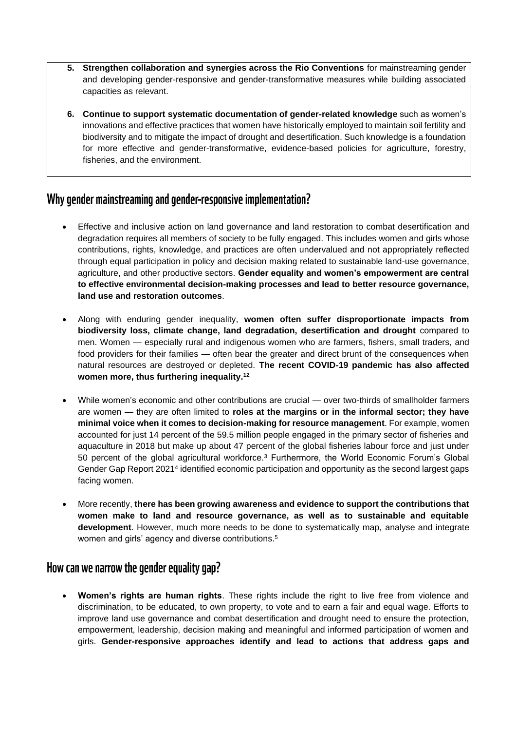- **5. Strengthen collaboration and synergies across the Rio Conventions** for mainstreaming gender and developing gender-responsive and gender-transformative measures while building associated capacities as relevant.
- **6. Continue to support systematic documentation of gender-related knowledge** such as women's innovations and effective practices that women have historically employed to maintain soil fertility and biodiversity and to mitigate the impact of drought and desertification. Such knowledge is a foundation for more effective and gender-transformative, evidence-based policies for agriculture, forestry, fisheries, and the environment.

### Why gender mainstreaming and gender-responsive implementation?

- Effective and inclusive action on land governance and land restoration to combat desertification and degradation requires all members of society to be fully engaged. This includes women and girls whose contributions, rights, knowledge, and practices are often undervalued and not appropriately reflected through equal participation in policy and decision making related to sustainable land-use governance, agriculture, and other productive sectors. **Gender equality and women's empowerment are central to effective environmental decision-making processes and lead to better resource governance, land use and restoration outcomes**.
- Along with enduring gender inequality, **women often suffer disproportionate impacts from biodiversity loss, climate change, land degradation, desertification and drought** compared to men. Women — especially rural and indigenous women who are farmers, fishers, small traders, and food providers for their families — often bear the greater and direct brunt of the consequences when natural resources are destroyed or depleted. **The recent COVID-19 pandemic has also affected women more, thus furthering inequality.<sup>12</sup>**
- While women's economic and other contributions are crucial over two-thirds of smallholder farmers are women — they are often limited to **roles at the margins or in the informal sector; they have minimal voice when it comes to decision-making for resource management**. For example, women accounted for just 14 percent of the 59.5 million people engaged in the primary sector of fisheries and aquaculture in 2018 but make up about 47 percent of the global fisheries labour force and just under 50 percent of the global agricultural workforce.<sup>3</sup> Furthermore, the World Economic Forum's Global Gender Gap Report 2021<sup>4</sup> identified economic participation and opportunity as the second largest gaps facing women.
- More recently, **there has been growing awareness and evidence to support the contributions that women make to land and resource governance, as well as to sustainable and equitable development**. However, much more needs to be done to systematically map, analyse and integrate women and girls' agency and diverse contributions.<sup>5</sup>

#### How can we narrow the gender equality gap?

• **Women's rights are human rights**. These rights include the right to live free from violence and discrimination, to be educated, to own property, to vote and to earn a fair and equal wage. Efforts to improve land use governance and combat desertification and drought need to ensure the protection, empowerment, leadership, decision making and meaningful and informed participation of women and girls. **Gender-responsive approaches identify and lead to actions that address gaps and**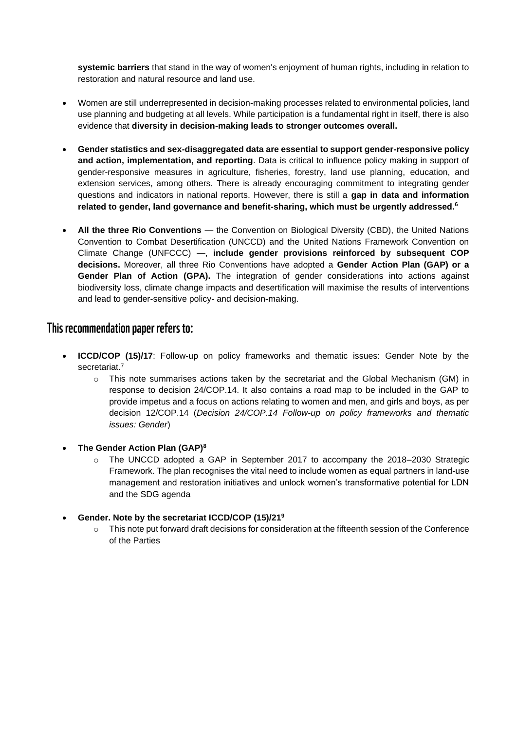**systemic barriers** that stand in the way of women's enjoyment of human rights, including in relation to restoration and natural resource and land use.

- Women are still underrepresented in decision-making processes related to environmental policies, land use planning and budgeting at all levels. While participation is a fundamental right in itself, there is also evidence that **diversity in decision-making leads to stronger outcomes overall.**
- **Gender statistics and sex-disaggregated data are essential to support gender-responsive policy and action, implementation, and reporting**. Data is critical to influence policy making in support of gender-responsive measures in agriculture, fisheries, forestry, land use planning, education, and extension services, among others. There is already encouraging commitment to integrating gender questions and indicators in national reports. However, there is still a **gap in data and information related to gender, land governance and benefit-sharing, which must be urgently addressed.<sup>6</sup>**
- **All the three Rio Conventions** the Convention on Biological Diversity (CBD), the United Nations Convention to Combat Desertification (UNCCD) and the United Nations Framework Convention on Climate Change (UNFCCC) —, **include gender provisions reinforced by subsequent COP decisions.** Moreover, all three Rio Conventions have adopted a **Gender Action Plan (GAP) or a Gender Plan of Action (GPA).** The integration of gender considerations into actions against biodiversity loss, climate change impacts and desertification will maximise the results of interventions and lead to gender-sensitive policy- and decision-making.

#### This recommendation paper refers to:

- **ICCD/COP (15)/17**: Follow-up on policy frameworks and thematic issues: Gender Note by the secretariat.<sup>7</sup>
	- $\circ$  This note summarises actions taken by the secretariat and the Global Mechanism (GM) in response to decision 24/COP.14. It also contains a road map to be included in the GAP to provide impetus and a focus on actions relating to women and men, and girls and boys, as per decision 12/COP.14 (*Decision 24/COP.14 Follow-up on policy frameworks and thematic issues: Gender*)
- **The Gender Action Plan (GAP)<sup>8</sup>**
	- o The UNCCD adopted a GAP in September 2017 to accompany the 2018–2030 Strategic Framework. The plan recognises the vital need to include women as equal partners in land-use management and restoration initiatives and unlock women's transformative potential for LDN and the SDG agenda
- **Gender. Note by the secretariat ICCD/COP (15)/21<sup>9</sup>**
	- $\circ$  This note put forward draft decisions for consideration at the fifteenth session of the Conference of the Parties